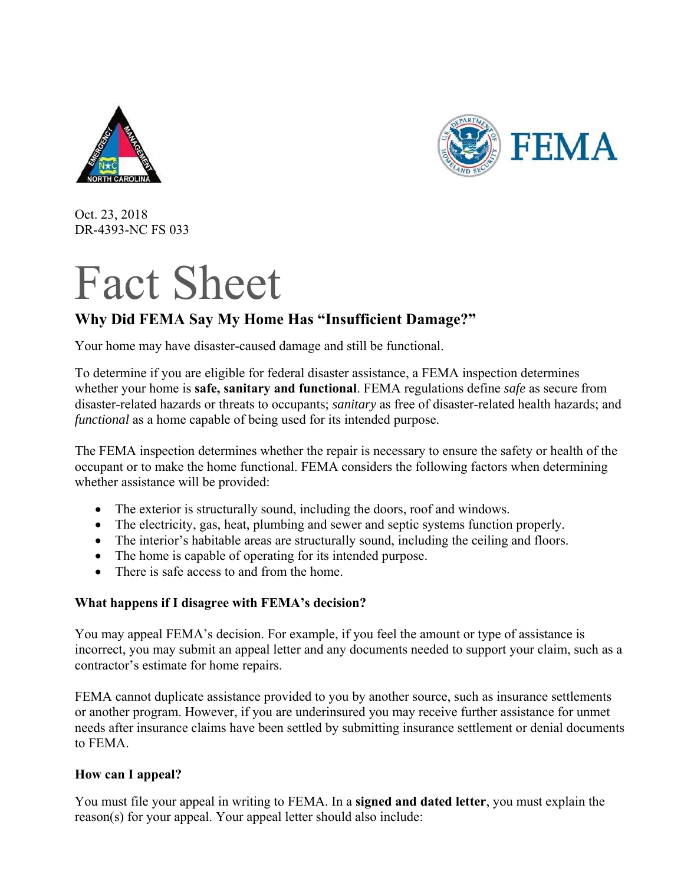



Oct. 23, 2018 DR-4393-NC FS 033

# Fact Sheet

## **Why Did FEMA Say My Home Has "Insufficient Damage?"**

Your home may have disaster-caused damage and still be functional.

To determine if you are eligible for federal disaster assistance, a FEMA inspection determines whether your home is **safe, sanitary and functional**. FEMA regulations define *safe* as secure from disaster-related hazards or threats to occupants; *sanitary* as free of disaster-related health hazards; and *functional* as a home capable of being used for its intended purpose.

The FEMA inspection determines whether the repair is necessary to ensure the safety or health of the occupant or to make the home functional. FEMA considers the following factors when determining whether assistance will be provided:

- The exterior is structurally sound, including the doors, roof and windows.
- The electricity, gas, heat, plumbing and sewer and septic systems function properly.
- The interior's habitable areas are structurally sound, including the ceiling and floors.
- The home is capable of operating for its intended purpose.
- There is safe access to and from the home.

### **What happens if I disagree with FEMA's decision?**

You may appeal FEMA's decision. For example, if you feel the amount or type of assistance is incorrect, you may submit an appeal letter and any documents needed to support your claim, such as a contractor's estimate for home repairs.

FEMA cannot duplicate assistance provided to you by another source, such as insurance settlements or another program. However, if you are underinsured you may receive further assistance for unmet needs after insurance claims have been settled by submitting insurance settlement or denial documents to FEMA.

### **How can I appeal?**

You must file your appeal in writing to FEMA. In a **signed and dated letter**, you must explain the reason(s) for your appeal. Your appeal letter should also include: